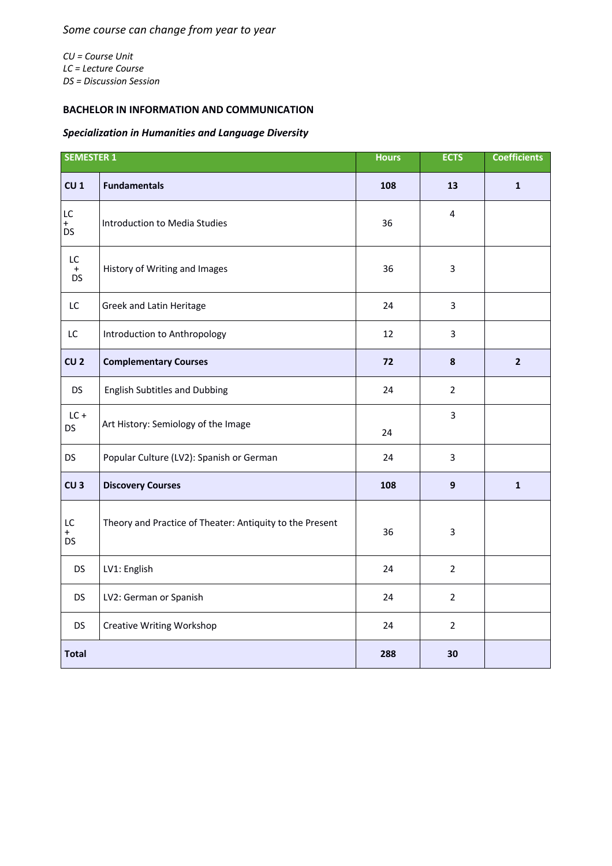*CU = Course Unit LC = Lecture Course DS = Discussion Session*

## **BACHELOR IN INFORMATION AND COMMUNICATION**

## *Specialization in Humanities and Language Diversity*

| <b>SEMESTER 1</b>            |                                                          | <b>Hours</b> | <b>ECTS</b>    | <b>Coefficients</b> |
|------------------------------|----------------------------------------------------------|--------------|----------------|---------------------|
| CU <sub>1</sub>              | <b>Fundamentals</b>                                      | 108          | 13             | $\mathbf{1}$        |
| LC<br>$\ddot{}$<br>DS        | Introduction to Media Studies                            | 36           | 4              |                     |
| LC<br>$\ddot{}$<br><b>DS</b> | History of Writing and Images                            | 36           | 3              |                     |
| LC                           | Greek and Latin Heritage                                 | 24           | $\overline{3}$ |                     |
| LC                           | Introduction to Anthropology                             | 12           | $\overline{3}$ |                     |
| CU <sub>2</sub>              | <b>Complementary Courses</b>                             | 72           | 8              | $\overline{2}$      |
| <b>DS</b>                    | <b>English Subtitles and Dubbing</b>                     | 24           | $\overline{2}$ |                     |
| $LC +$<br>DS                 | Art History: Semiology of the Image                      | 24           | 3              |                     |
| <b>DS</b>                    | Popular Culture (LV2): Spanish or German                 | 24           | $\overline{3}$ |                     |
| CU <sub>3</sub>              | <b>Discovery Courses</b>                                 | 108          | $\mathbf{9}$   | $\mathbf{1}$        |
| LC<br>$+$<br><b>DS</b>       | Theory and Practice of Theater: Antiquity to the Present | 36           | $\overline{3}$ |                     |
| <b>DS</b>                    | LV1: English                                             | 24           | $\overline{2}$ |                     |
| <b>DS</b>                    | LV2: German or Spanish                                   | 24           | $\overline{2}$ |                     |
| <b>DS</b>                    | <b>Creative Writing Workshop</b>                         | 24           | $\overline{2}$ |                     |
| <b>Total</b>                 |                                                          | 288          | 30             |                     |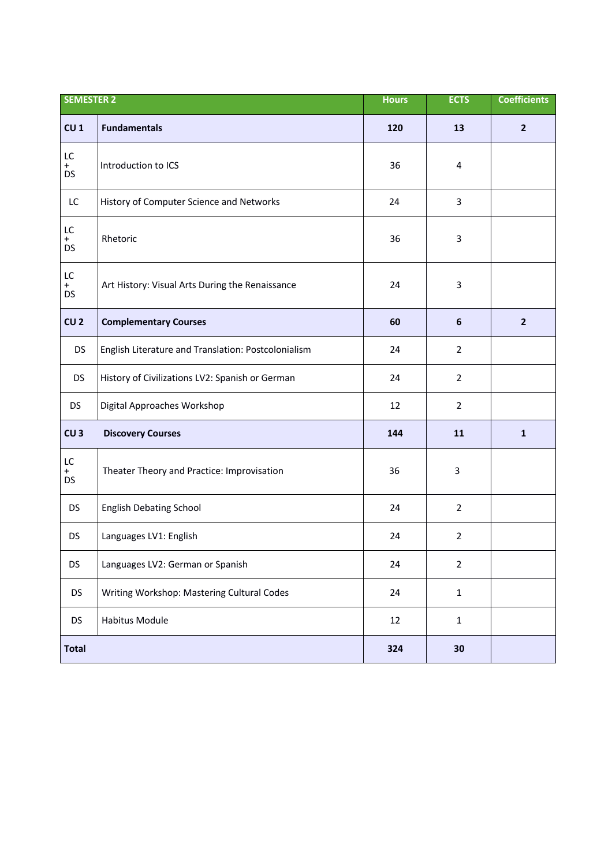| <b>SEMESTER 2</b>                 |                                                     | <b>Hours</b> | <b>ECTS</b>             | <b>Coefficients</b> |
|-----------------------------------|-----------------------------------------------------|--------------|-------------------------|---------------------|
| CU <sub>1</sub>                   | <b>Fundamentals</b>                                 | 120          | 13                      | $\overline{2}$      |
| LC<br>$+$<br><b>DS</b>            | Introduction to ICS                                 | 36           | $\overline{\mathbf{4}}$ |                     |
| LC                                | History of Computer Science and Networks            | 24           | 3                       |                     |
| LC<br>$+$<br><b>DS</b>            | Rhetoric                                            | 36           | 3                       |                     |
| $\mathsf{LC}$<br>$+$<br><b>DS</b> | Art History: Visual Arts During the Renaissance     | 24           | 3                       |                     |
| CU <sub>2</sub>                   | <b>Complementary Courses</b>                        | 60           | $\boldsymbol{6}$        | $\overline{2}$      |
| <b>DS</b>                         | English Literature and Translation: Postcolonialism | 24           | $\overline{2}$          |                     |
| <b>DS</b>                         | History of Civilizations LV2: Spanish or German     | 24           | $\overline{2}$          |                     |
| <b>DS</b>                         | Digital Approaches Workshop                         | 12           | $\overline{2}$          |                     |
| CU <sub>3</sub>                   | <b>Discovery Courses</b>                            | 144          | 11                      | $\mathbf{1}$        |
| LC<br>$+$<br><b>DS</b>            | Theater Theory and Practice: Improvisation          | 36           | 3                       |                     |
| <b>DS</b>                         | <b>English Debating School</b>                      | 24           | $\overline{2}$          |                     |
| DS                                | Languages LV1: English                              | 24           | $\overline{2}$          |                     |
| DS                                | Languages LV2: German or Spanish                    | 24           | $\overline{2}$          |                     |
| <b>DS</b>                         | Writing Workshop: Mastering Cultural Codes          | 24           | $\mathbf 1$             |                     |
| <b>DS</b>                         | Habitus Module                                      | 12           | $\mathbf{1}$            |                     |
| <b>Total</b>                      |                                                     | 324          | 30                      |                     |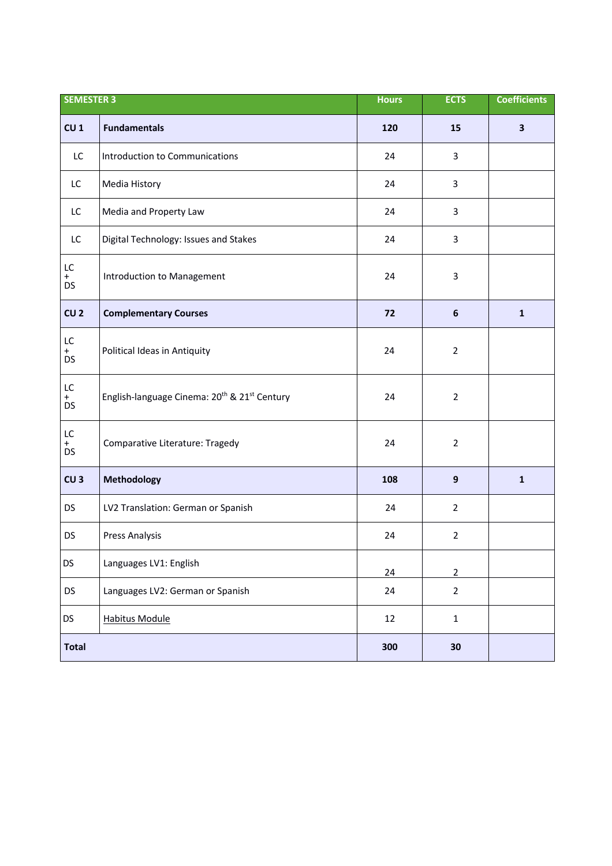| <b>SEMESTER 3</b>      |                                                                      | <b>Hours</b> | <b>ECTS</b>      | <b>Coefficients</b>     |
|------------------------|----------------------------------------------------------------------|--------------|------------------|-------------------------|
| CU <sub>1</sub>        | <b>Fundamentals</b>                                                  | 120          | 15               | $\overline{\mathbf{3}}$ |
| LC                     | Introduction to Communications                                       | 24           | 3                |                         |
| LC                     | Media History                                                        | 24           | 3                |                         |
| LC                     | Media and Property Law                                               | 24           | 3                |                         |
| LC                     | Digital Technology: Issues and Stakes                                | 24           | 3                |                         |
| LC<br>$+$<br>DS        | Introduction to Management                                           | 24           | 3                |                         |
| CU <sub>2</sub>        | <b>Complementary Courses</b>                                         | 72           | $\boldsymbol{6}$ | $\mathbf{1}$            |
| LC<br>$+$<br>DS        | Political Ideas in Antiquity                                         | 24           | $\overline{2}$   |                         |
| LC<br>$+$<br><b>DS</b> | English-language Cinema: 20 <sup>th</sup> & 21 <sup>st</sup> Century | 24           | $\overline{2}$   |                         |
| LC<br>$+$<br>DS        | Comparative Literature: Tragedy                                      | 24           | $\overline{2}$   |                         |
| CU <sub>3</sub>        | Methodology                                                          | 108          | $\mathbf{9}$     | $\mathbf{1}$            |
| <b>DS</b>              | LV2 Translation: German or Spanish                                   | 24           | $\overline{2}$   |                         |
| DS                     | <b>Press Analysis</b>                                                | 24           | $\overline{2}$   |                         |
| DS                     | Languages LV1: English                                               | 24           | $\overline{2}$   |                         |
| <b>DS</b>              | Languages LV2: German or Spanish                                     | 24           | $\overline{2}$   |                         |
| DS                     | <b>Habitus Module</b>                                                | 12           | $\mathbf 1$      |                         |
| <b>Total</b>           |                                                                      | 300          | 30               |                         |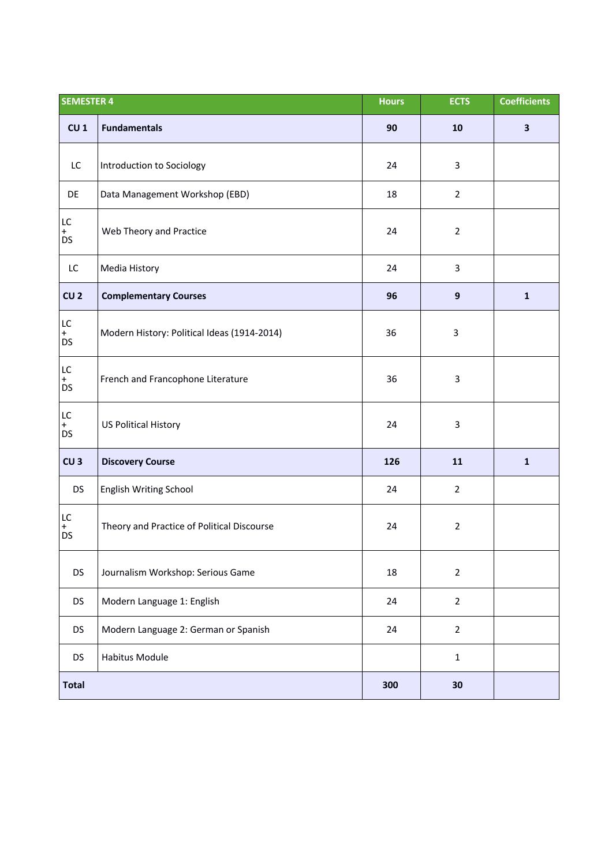| <b>SEMESTER 4</b>                 |                                             | <b>Hours</b> | <b>ECTS</b>      | <b>Coefficients</b>     |
|-----------------------------------|---------------------------------------------|--------------|------------------|-------------------------|
| CU <sub>1</sub>                   | <b>Fundamentals</b>                         | 90           | 10               | $\overline{\mathbf{3}}$ |
| LC                                | Introduction to Sociology                   | 24           | 3                |                         |
| DE                                | Data Management Workshop (EBD)              | 18           | $\overline{2}$   |                         |
| LC<br>$+$<br><b>DS</b>            | Web Theory and Practice                     | 24           | $\overline{2}$   |                         |
| ${\mathsf L}{\mathsf C}$          | Media History                               | 24           | 3                |                         |
| CU <sub>2</sub>                   | <b>Complementary Courses</b>                | 96           | $\boldsymbol{9}$ | $\mathbf{1}$            |
| LC<br>$+$<br><b>DS</b>            | Modern History: Political Ideas (1914-2014) | 36           | $\mathsf{3}$     |                         |
| $\mathsf{LC}$<br>$_{DS}^+$        | French and Francophone Literature           | 36           | 3                |                         |
| $\mathsf{LC}$<br>$+$<br><b>DS</b> | <b>US Political History</b>                 | 24           | 3                |                         |
| CU <sub>3</sub>                   | <b>Discovery Course</b>                     | 126          | 11               | $\mathbf{1}$            |
| <b>DS</b>                         | English Writing School                      | 24           | $\overline{2}$   |                         |
| LC<br>$+$<br>DS                   | Theory and Practice of Political Discourse  | 24           | $\overline{2}$   |                         |
| <b>DS</b>                         | Journalism Workshop: Serious Game           | 18           | $\mathbf{2}$     |                         |
| <b>DS</b>                         | Modern Language 1: English                  | 24           | $\overline{2}$   |                         |
| <b>DS</b>                         | Modern Language 2: German or Spanish        | 24           | $\overline{2}$   |                         |
| <b>DS</b>                         | <b>Habitus Module</b>                       |              | $\mathbf 1$      |                         |
| <b>Total</b>                      |                                             | 300          | 30               |                         |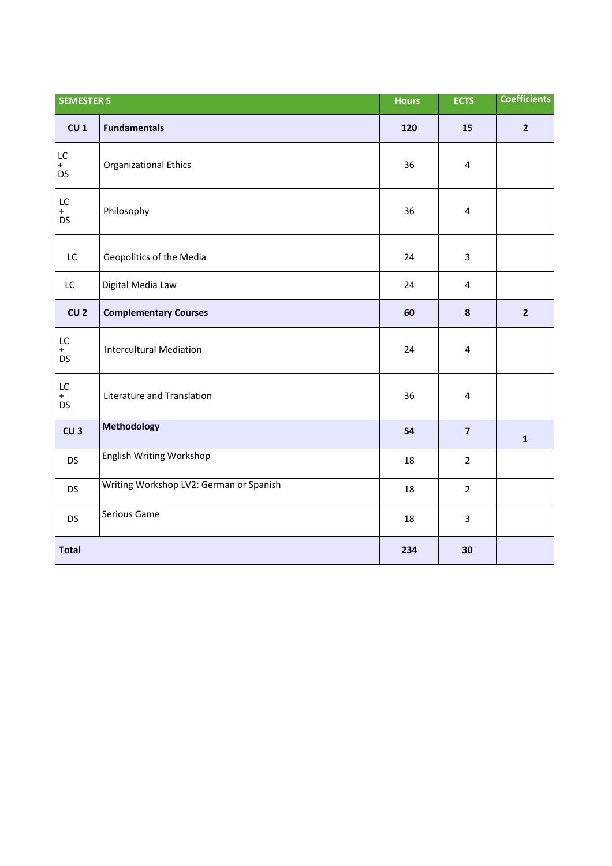| <b>SEMESTER 5</b>                 |                                         | <b>Hours</b> | <b>ECTS</b>             | <b>Coefficients</b> |
|-----------------------------------|-----------------------------------------|--------------|-------------------------|---------------------|
| CU <sub>1</sub>                   | <b>Fundamentals</b>                     | 120          | 15                      | $\overline{2}$      |
| LC<br>$+$<br><b>DS</b>            | Organizational Ethics                   | 36           | $\overline{4}$          |                     |
| $\mathsf{LC}$<br>$+$<br><b>DS</b> | Philosophy                              | 36           | $\overline{\mathbf{4}}$ |                     |
| LC                                | Geopolitics of the Media                | 24           | $\overline{3}$          |                     |
| LC                                | Digital Media Law                       | 24           | 4                       |                     |
| CU <sub>2</sub>                   | <b>Complementary Courses</b>            | 60           | $\pmb{8}$               | $\overline{2}$      |
| ${\sf LC}$<br>$_{DS}^+$           | <b>Intercultural Mediation</b>          | 24           | 4                       |                     |
| LC<br>$_{DS}^+$                   | Literature and Translation              | 36           | $\overline{4}$          |                     |
| CU <sub>3</sub>                   | Methodology                             | 54           | $\overline{7}$          | $\mathbf{1}$        |
| <b>DS</b>                         | English Writing Workshop                | 18           | $\overline{2}$          |                     |
| <b>DS</b>                         | Writing Workshop LV2: German or Spanish | 18           | $\overline{2}$          |                     |
| <b>DS</b>                         | Serious Game                            | 18           | $\overline{3}$          |                     |
| <b>Total</b>                      |                                         | 234          | 30                      |                     |